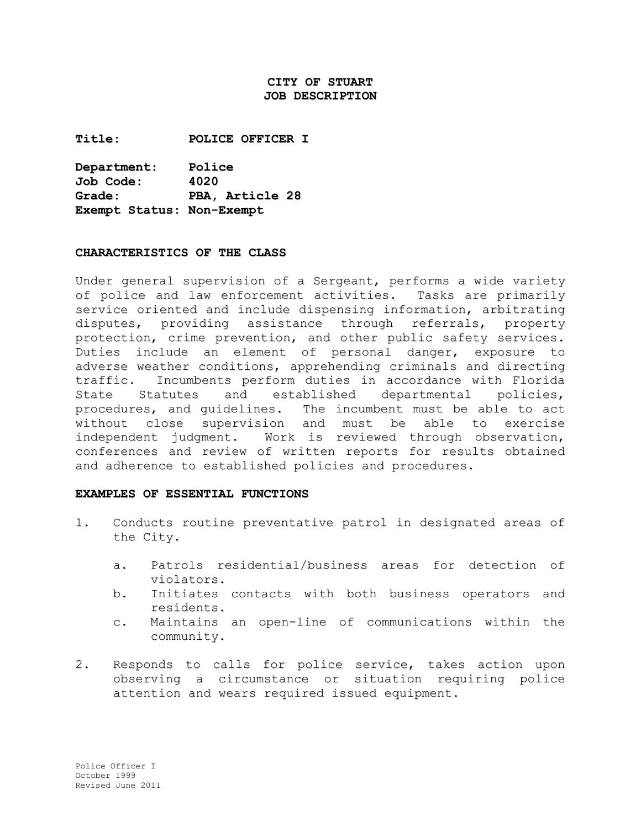# **CITY OF STUART JOB DESCRIPTION**

**Title: POLICE OFFICER I**

**Department: Police**  $Job Code:$ **Grade: Grade: PBA, Article 28 Exempt Status: Non-Exempt**

### **CHARACTERISTICS OF THE CLASS**

Under general supervision of a Sergeant, performs a wide variety of police and law enforcement activities. Tasks are primarily service oriented and include dispensing information, arbitrating disputes, providing assistance through referrals, property protection, crime prevention, and other public safety services. Duties include an element of personal danger, exposure to adverse weather conditions, apprehending criminals and directing<br>traffic. Incumbents perform duties in accordance with Florida Incumbents perform duties in accordance with Florida State Statutes and established departmental policies, procedures, and guidelines. The incumbent must be able to act without close supervision and must be able to exercise<br>independent judgment. Work is reviewed through observation, Work is reviewed through observation, conferences and review of written reports for results obtained and adherence to established policies and procedures.

### **EXAMPLES OF ESSENTIAL FUNCTIONS**

- 1. Conducts routine preventative patrol in designated areas of the City.
	- a. Patrols residential/business areas for detection of violators.
	- b. Initiates contacts with both business operators and residents.
	- c. Maintains an open-line of communications within the community.
- 2. Responds to calls for police service, takes action upon observing a circumstance or situation requiring police attention and wears required issued equipment.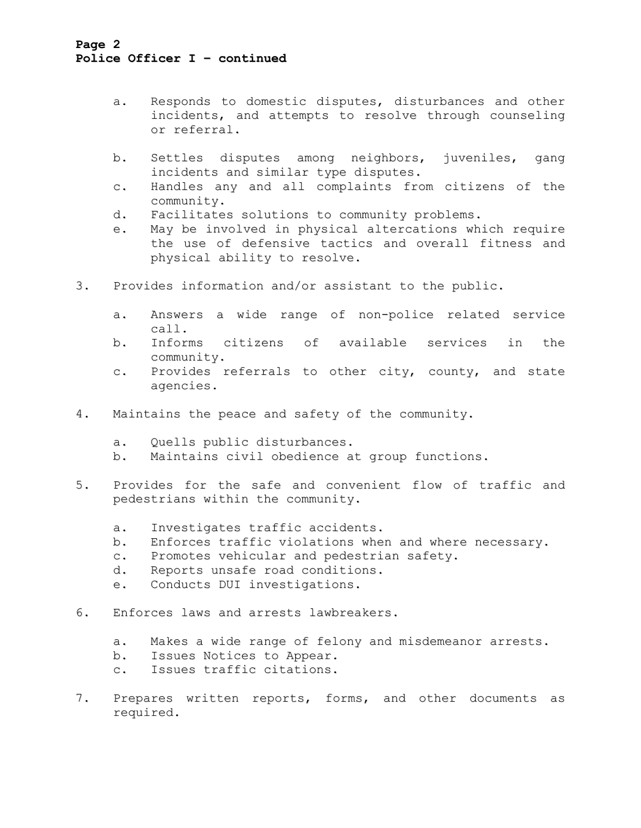# **Page 2 Police Officer I – continued**

- a. Responds to domestic disputes, disturbances and other incidents, and attempts to resolve through counseling or referral.
- b. Settles disputes among neighbors, juveniles, gang incidents and similar type disputes.
- c. Handles any and all complaints from citizens of the community.
- d. Facilitates solutions to community problems.
- e. May be involved in physical altercations which require the use of defensive tactics and overall fitness and physical ability to resolve.
- 3. Provides information and/or assistant to the public.
	- a. Answers a wide range of non-police related service call.
	- b. Informs citizens of available services in the community.
	- c. Provides referrals to other city, county, and state agencies.
- 4. Maintains the peace and safety of the community.
	- a. Quells public disturbances.<br>b. Maintains civil obedience a
	- Maintains civil obedience at group functions.
- 5. Provides for the safe and convenient flow of traffic and pedestrians within the community.
	- a. Investigates traffic accidents.<br>b. Enforces traffic violations whe
	- Enforces traffic violations when and where necessary.
	- c. Promotes vehicular and pedestrian safety.<br>d. Reports unsafe road conditions.
	- Reports unsafe road conditions.
	- e. Conducts DUI investigations.
- 6. Enforces laws and arrests lawbreakers.
	- a. Makes a wide range of felony and misdemeanor arrests.<br>b. Issues Notices to Appear.
	- Issues Notices to Appear.
	- c. Issues traffic citations.
- 7. Prepares written reports, forms, and other documents as required.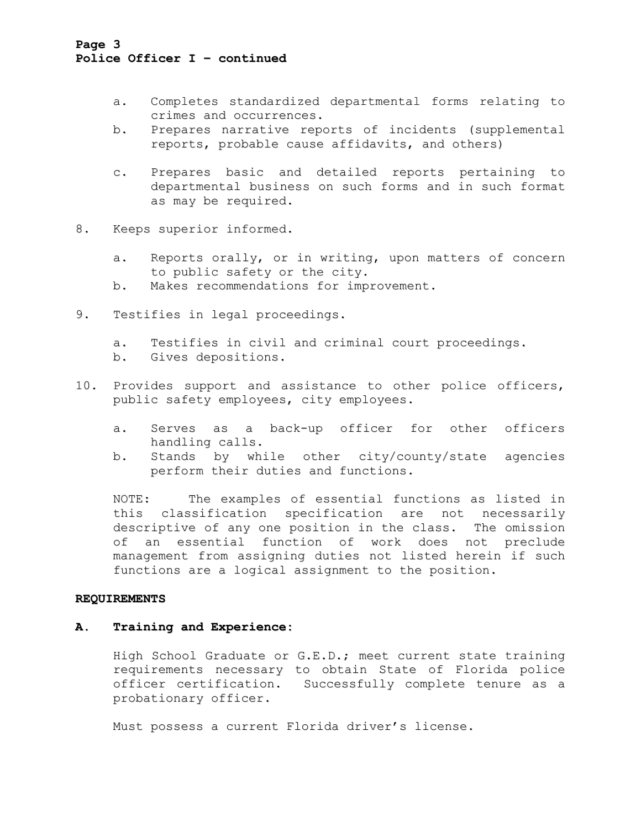## **Page 3 Police Officer I – continued**

- a. Completes standardized departmental forms relating to crimes and occurrences.
- b. Prepares narrative reports of incidents (supplemental reports, probable cause affidavits, and others)
- c. Prepares basic and detailed reports pertaining to departmental business on such forms and in such format as may be required.
- 8. Keeps superior informed.
	- a. Reports orally, or in writing, upon matters of concern to public safety or the city.
	- b. Makes recommendations for improvement.
- 9. Testifies in legal proceedings.
	- a. Testifies in civil and criminal court proceedings.<br>b. Gives depositions.
	- Gives depositions.
- 10. Provides support and assistance to other police officers, public safety employees, city employees.
	- a. Serves as a back-up officer for other officers handling calls.
	- b. Stands by while other city/county/state agencies perform their duties and functions.

NOTE: The examples of essential functions as listed in this classification specification are not necessarily descriptive of any one position in the class. The omission<br>of an essential function of work does not preclude an essential function of work does not preclude management from assigning duties not listed herein if such functions are a logical assignment to the position.

### **REQUIREMENTS**

### **A. Training and Experience:**

High School Graduate or G.E.D.; meet current state training requirements necessary to obtain State of Florida police officer certification. Successfully complete tenure as a probationary officer.

Must possess a current Florida driver's license.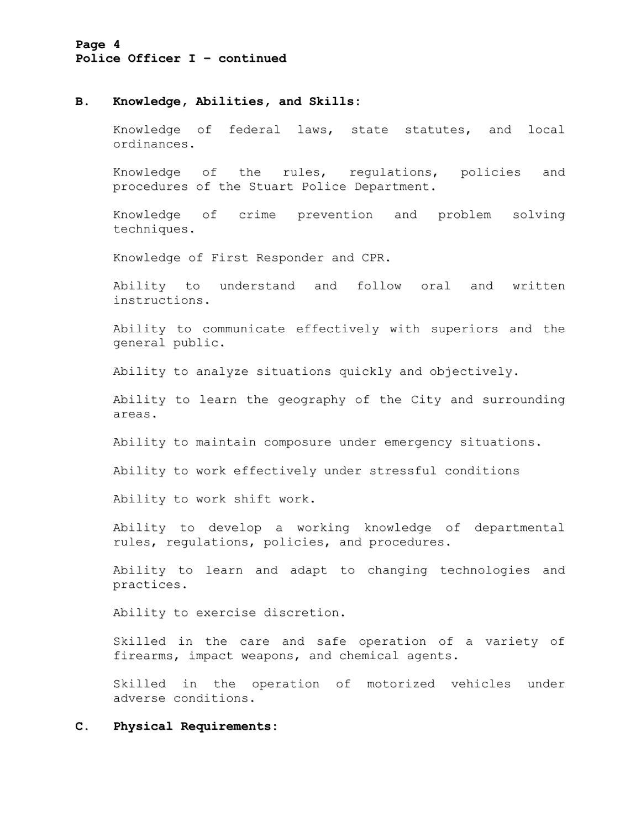## **Page 4 Police Officer I – continued**

### **B. Knowledge, Abilities, and Skills:**

Knowledge of federal laws, state statutes, and local ordinances.

Knowledge of the rules, regulations, policies and procedures of the Stuart Police Department.

Knowledge of crime prevention and problem solving techniques.

Knowledge of First Responder and CPR.

Ability to understand and follow oral and written instructions.

Ability to communicate effectively with superiors and the general public.

Ability to analyze situations quickly and objectively.

Ability to learn the geography of the City and surrounding areas.

Ability to maintain composure under emergency situations.

Ability to work effectively under stressful conditions

Ability to work shift work.

Ability to develop a working knowledge of departmental rules, regulations, policies, and procedures.

Ability to learn and adapt to changing technologies and practices.

Ability to exercise discretion.

Skilled in the care and safe operation of a variety of firearms, impact weapons, and chemical agents.

Skilled in the operation of motorized vehicles under adverse conditions.

### **C. Physical Requirements:**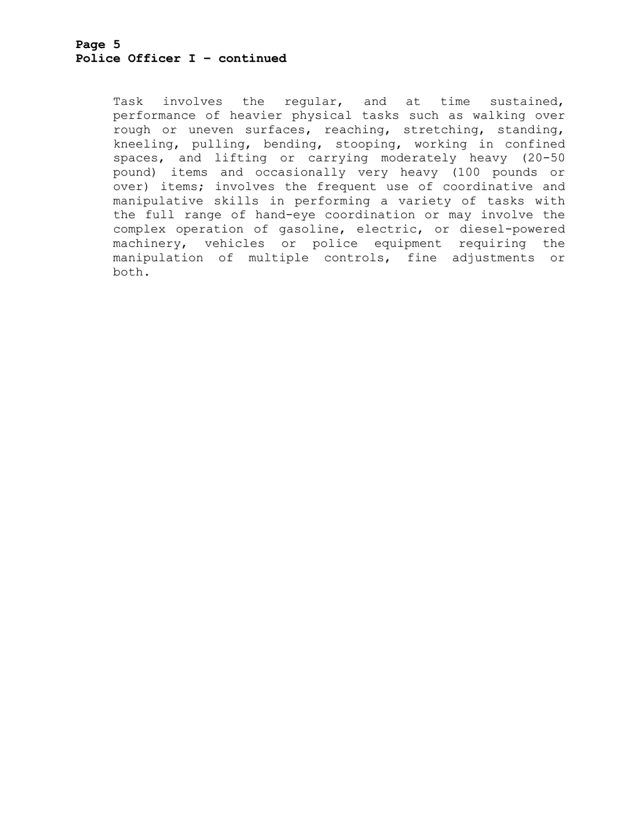Task involves the regular, and at time sustained, performance of heavier physical tasks such as walking over rough or uneven surfaces, reaching, stretching, standing, kneeling, pulling, bending, stooping, working in confined spaces, and lifting or carrying moderately heavy (20-50 pound) items and occasionally very heavy (100 pounds or over) items; involves the frequent use of coordinative and manipulative skills in performing a variety of tasks with the full range of hand-eye coordination or may involve the complex operation of gasoline, electric, or diesel-powered machinery, vehicles or police equipment requiring the manipulation of multiple controls, fine adjustments or both.